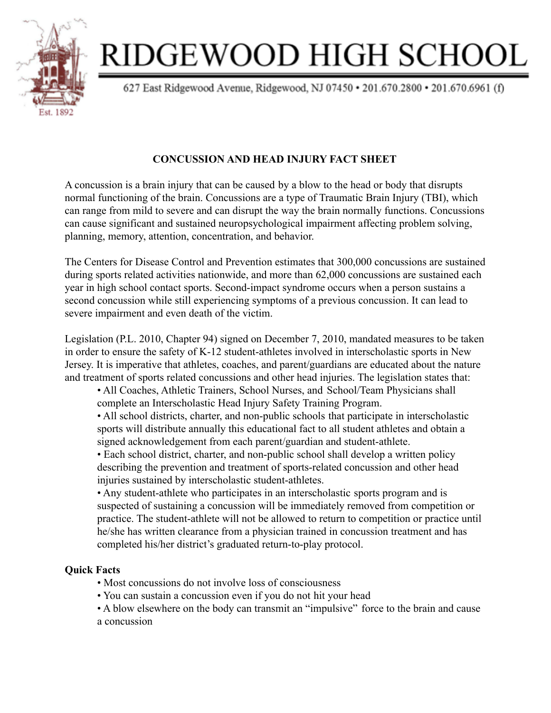

# RIDGEWOOD HIGH SCHOOL

627 East Ridgewood Avenue, Ridgewood, NJ 07450 · 201.670.2800 · 201.670.6961 (f)

# **CONCUSSION AND HEAD INJURY FACT SHEET**

A concussion is a brain injury that can be caused by a blow to the head or body that disrupts normal functioning of the brain. Concussions are a type of Traumatic Brain Injury (TBI), which can range from mild to severe and can disrupt the way the brain normally functions. Concussions can cause significant and sustained neuropsychological impairment affecting problem solving, planning, memory, attention, concentration, and behavior.

The Centers for Disease Control and Prevention estimates that 300,000 concussions are sustained during sports related activities nationwide, and more than 62,000 concussions are sustained each year in high school contact sports. Second-impact syndrome occurs when a person sustains a second concussion while still experiencing symptoms of a previous concussion. It can lead to severe impairment and even death of the victim.

Legislation (P.L. 2010, Chapter 94) signed on December 7, 2010, mandated measures to be taken in order to ensure the safety of K-12 student-athletes involved in interscholastic sports in New Jersey. It is imperative that athletes, coaches, and parent/guardians are educated about the nature and treatment of sports related concussions and other head injuries. The legislation states that:

• All Coaches, Athletic Trainers, School Nurses, and School/Team Physicians shall complete an Interscholastic Head Injury Safety Training Program.

• All school districts, charter, and non-public schools that participate in interscholastic sports will distribute annually this educational fact to all student athletes and obtain a signed acknowledgement from each parent/guardian and student-athlete.

• Each school district, charter, and non-public school shall develop a written policy describing the prevention and treatment of sports-related concussion and other head injuries sustained by interscholastic student-athletes.

• Any student-athlete who participates in an interscholastic sports program and is suspected of sustaining a concussion will be immediately removed from competition or practice. The student-athlete will not be allowed to return to competition or practice until he/she has written clearance from a physician trained in concussion treatment and has completed his/her district's graduated return-to-play protocol.

## **Quick Facts**

- Most concussions do not involve loss of consciousness
- You can sustain a concussion even if you do not hit your head
- A blow elsewhere on the body can transmit an "impulsive" force to the brain and cause a concussion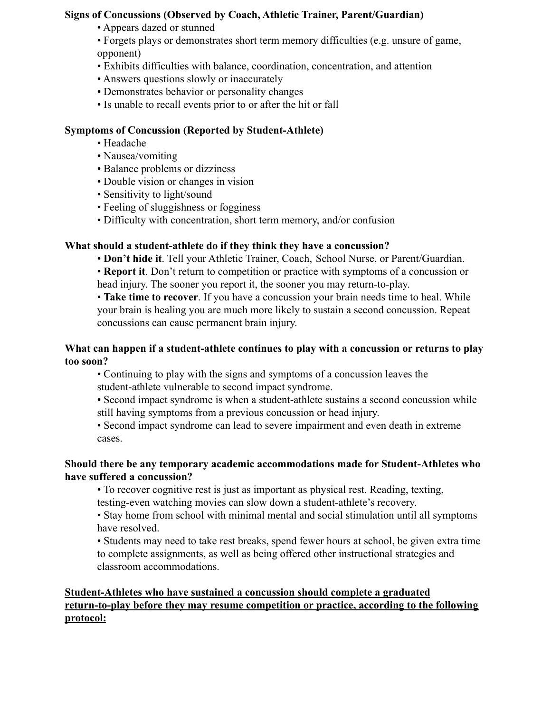#### **Signs of Concussions (Observed by Coach, Athletic Trainer, Parent/Guardian)**

- Appears dazed or stunned
- Forgets plays or demonstrates short term memory difficulties (e.g. unsure of game, opponent)
- Exhibits difficulties with balance, coordination, concentration, and attention
- Answers questions slowly or inaccurately
- Demonstrates behavior or personality changes
- Is unable to recall events prior to or after the hit or fall

### **Symptoms of Concussion (Reported by Student-Athlete)**

- Headache
- Nausea/vomiting
- Balance problems or dizziness
- Double vision or changes in vision
- Sensitivity to light/sound
- Feeling of sluggishness or fogginess
- Difficulty with concentration, short term memory, and/or confusion

#### **What should a student-athlete do if they think they have a concussion?**

• **Don't hide it**. Tell your Athletic Trainer, Coach, School Nurse, or Parent/Guardian.

• **Report it**. Don't return to competition or practice with symptoms of a concussion or head injury. The sooner you report it, the sooner you may return-to-play.

• **Take time to recover**. If you have a concussion your brain needs time to heal. While your brain is healing you are much more likely to sustain a second concussion. Repeat concussions can cause permanent brain injury.

#### **What can happen if a student-athlete continues to play with a concussion or returns to play too soon?**

• Continuing to play with the signs and symptoms of a concussion leaves the student-athlete vulnerable to second impact syndrome.

- Second impact syndrome is when a student-athlete sustains a second concussion while still having symptoms from a previous concussion or head injury.
- Second impact syndrome can lead to severe impairment and even death in extreme cases.

#### **Should there be any temporary academic accommodations made for Student-Athletes who have suffered a concussion?**

• To recover cognitive rest is just as important as physical rest. Reading, texting, testing-even watching movies can slow down a student-athlete's recovery.

• Stay home from school with minimal mental and social stimulation until all symptoms have resolved.

• Students may need to take rest breaks, spend fewer hours at school, be given extra time to complete assignments, as well as being offered other instructional strategies and classroom accommodations.

#### **Student-Athletes who have sustained a concussion should complete a graduated return-to-play before they may resume competition or practice, according to the following protocol:**